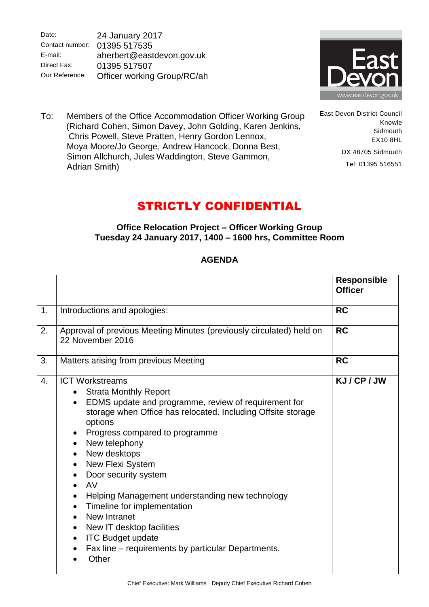Date: Contact number: E-mail: Direct Fax: Our Reference: 24 January 2017 01395 517535 aherbert@eastdevon.gov.uk 01395 517507 Officer working Group/RC/ah



East Devon District Council

DX 48705 Sidmouth Tel: 01395 516551

Knowle **Sidmouth** EX10 8HL

To: Members of the Office Accommodation Officer Working Group (Richard Cohen, Simon Davey, John Golding, Karen Jenkins, Chris Powell, Steve Pratten, Henry Gordon Lennox, Moya Moore/Jo George, Andrew Hancock, Donna Best, Simon Allchurch, Jules Waddington, Steve Gammon, Adrian Smith)

## STRICTLY CONFIDENTIAL

## **Office Relocation Project – Officer Working Group Tuesday 24 January 2017, 1400 – 1600 hrs, Committee Room**

## **AGENDA**

|    |                                                                                                                                                                                                                                                                                                                                                                                                                                                                                                                                                                    | <b>Responsible</b><br><b>Officer</b> |
|----|--------------------------------------------------------------------------------------------------------------------------------------------------------------------------------------------------------------------------------------------------------------------------------------------------------------------------------------------------------------------------------------------------------------------------------------------------------------------------------------------------------------------------------------------------------------------|--------------------------------------|
| 1. | Introductions and apologies:                                                                                                                                                                                                                                                                                                                                                                                                                                                                                                                                       | <b>RC</b>                            |
| 2. | Approval of previous Meeting Minutes (previously circulated) held on<br>22 November 2016                                                                                                                                                                                                                                                                                                                                                                                                                                                                           | <b>RC</b>                            |
| 3. | Matters arising from previous Meeting                                                                                                                                                                                                                                                                                                                                                                                                                                                                                                                              | <b>RC</b>                            |
| 4. | <b>ICT Workstreams</b><br><b>Strata Monthly Report</b><br>EDMS update and programme, review of requirement for<br>storage when Office has relocated. Including Offsite storage<br>options<br>Progress compared to programme<br>New telephony<br>New desktops<br>New Flexi System<br>$\bullet$<br>Door security system<br>AV<br>Helping Management understanding new technology<br>Timeline for implementation<br>New Intranet<br>New IT desktop facilities<br>$\bullet$<br><b>ITC Budget update</b><br>Fax line – requirements by particular Departments.<br>Other | KJ/CP/JW                             |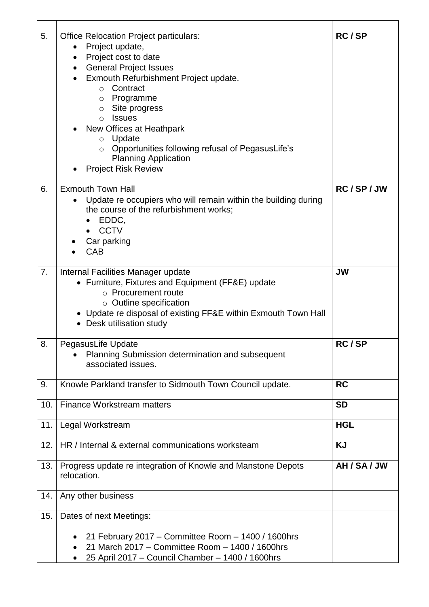| 5.  | <b>Office Relocation Project particulars:</b><br>Project update,<br>$\bullet$<br>Project cost to date<br>$\bullet$<br><b>General Project Issues</b><br>$\bullet$<br>Exmouth Refurbishment Project update.<br>$\bullet$<br>Contract<br>$\circ$<br>Programme<br>O<br>Site progress<br>$\circ$<br><b>Issues</b><br>$\circ$<br>New Offices at Heathpark<br>Update<br>$\circ$<br>Opportunities following refusal of PegasusLife's<br>$\circ$<br><b>Planning Application</b><br><b>Project Risk Review</b> | RC/SP        |
|-----|------------------------------------------------------------------------------------------------------------------------------------------------------------------------------------------------------------------------------------------------------------------------------------------------------------------------------------------------------------------------------------------------------------------------------------------------------------------------------------------------------|--------------|
| 6.  | <b>Exmouth Town Hall</b><br>Update re occupiers who will remain within the building during<br>the course of the refurbishment works;<br>EDDC,<br><b>CCTV</b><br>Car parking<br><b>CAB</b>                                                                                                                                                                                                                                                                                                            | RC/SP/JW     |
| 7.  | Internal Facilities Manager update<br>• Furniture, Fixtures and Equipment (FF&E) update<br>o Procurement route<br>$\circ$ Outline specification<br>• Update re disposal of existing FF&E within Exmouth Town Hall<br>• Desk utilisation study                                                                                                                                                                                                                                                        | <b>JW</b>    |
| 8.  | PegasusLife Update<br>Planning Submission determination and subsequent<br>associated issues.                                                                                                                                                                                                                                                                                                                                                                                                         | RC/SP        |
| 9.  | Knowle Parkland transfer to Sidmouth Town Council update.                                                                                                                                                                                                                                                                                                                                                                                                                                            | <b>RC</b>    |
| 10. | <b>Finance Workstream matters</b>                                                                                                                                                                                                                                                                                                                                                                                                                                                                    | <b>SD</b>    |
| 11. | Legal Workstream                                                                                                                                                                                                                                                                                                                                                                                                                                                                                     | <b>HGL</b>   |
| 12. | HR / Internal & external communications worksteam                                                                                                                                                                                                                                                                                                                                                                                                                                                    | <b>KJ</b>    |
| 13. | Progress update re integration of Knowle and Manstone Depots<br>relocation.                                                                                                                                                                                                                                                                                                                                                                                                                          | AH / SA / JW |
| 14. | Any other business                                                                                                                                                                                                                                                                                                                                                                                                                                                                                   |              |
| 15. | Dates of next Meetings:                                                                                                                                                                                                                                                                                                                                                                                                                                                                              |              |
|     | 21 February 2017 – Committee Room – 1400 / 1600hrs<br>$\bullet$<br>21 March 2017 - Committee Room - 1400 / 1600hrs<br>25 April 2017 - Council Chamber - 1400 / 1600hrs<br>٠                                                                                                                                                                                                                                                                                                                          |              |

 $\overline{\phantom{a}}$